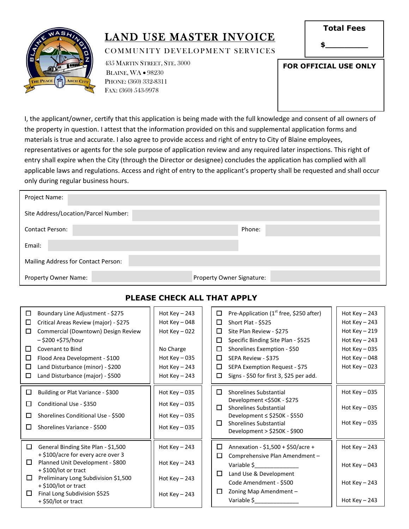

### LAND USE MASTER INVOICE

COMMUNITY DEVELOPMENT SERVICES

| <b>Total Fees</b> |  |
|-------------------|--|
|                   |  |

**\$\_\_\_\_\_\_\_\_\_**

435 MARTIN STREET, STE. 3000 BLAINE, WA • 98230 PHONE: (360) 332-8311 FAX: (360) 543-9978

| FOR OFFICIAL USE ONLY |
|-----------------------|
|                       |
|                       |
|                       |

I, the applicant/owner, certify that this application is being made with the full knowledge and consent of all owners of the property in question. I attest that the information provided on this and supplemental application forms and materials is true and accurate. I also agree to provide access and right of entry to City of Blaine employees, representatives or agents for the sole purpose of application review and any required later inspections. This right of entry shall expire when the City (through the Director or designee) concludes the application has complied with all applicable laws and regulations. Access and right of entry to the applicant's property shall be requested and shall occur only during regular business hours.

| Project Name:                        |                           |
|--------------------------------------|---------------------------|
| Site Address/Location/Parcel Number: |                           |
| <b>Contact Person:</b>               | Phone:                    |
| Email:                               |                           |
| Mailing Address for Contact Person:  |                           |
| Property Owner Name:                 | Property Owner Signature: |

#### **PLEASE CHECK ALL THAT APPLY**

| □<br>□<br>П<br>□<br>$\Box$<br>П<br>□ | Boundary Line Adjustment - \$275<br>Critical Areas Review (major) - \$275<br>Commercial (Downtown) Design Review<br>– \$200 +\$75/hour<br><b>Covenant to Bind</b><br>Flood Area Development - \$100<br>Land Disturbance (minor) - \$200<br>Land Disturbance (major) - \$500 | Hot $Key - 243$<br>Hot Key $-048$<br>Hot Key $-022$<br>No Charge<br>Hot Key $-035$<br>Hot Key $-243$<br>Hot Key $-243$ | □<br>□<br>□<br>□<br>$\Box$<br>□<br>$\Box$<br>□ | Pre-Application (1 <sup>st</sup> free, \$250 after)<br>Short Plat - \$525<br>Site Plan Review - \$275<br>Specific Binding Site Plan - \$525<br>Shorelines Exemption - \$50<br>SEPA Review - \$375<br>SEPA Exemption Request - \$75<br>Signs - \$50 for first 3, \$25 per add. | Hot Key $-243$<br>Hot Key $-243$<br>Hot $Key - 219$<br>Hot Key $-243$<br>Hot Key $-035$<br>Hot Key $-048$<br>Hot Key $-023$ |
|--------------------------------------|-----------------------------------------------------------------------------------------------------------------------------------------------------------------------------------------------------------------------------------------------------------------------------|------------------------------------------------------------------------------------------------------------------------|------------------------------------------------|-------------------------------------------------------------------------------------------------------------------------------------------------------------------------------------------------------------------------------------------------------------------------------|-----------------------------------------------------------------------------------------------------------------------------|
| □<br>П<br>П<br>П                     | Building or Plat Variance - \$300<br>Conditional Use - \$350<br>Shorelines Conditional Use - \$500<br>Shorelines Variance - \$500                                                                                                                                           | Hot Key $-035$<br>Hot Key $-035$<br>Hot Key $-035$<br>Hot Key $-035$                                                   | □<br>□<br>□                                    | <b>Shorelines Substantial</b><br>Development <\$50K - \$275<br><b>Shorelines Substantial</b><br>Development ≤ \$250K - \$550<br><b>Shorelines Substantial</b><br>Development > \$250K - \$900                                                                                 | Hot Key $-035$<br>Hot Key $-035$<br>Hot Key $-035$                                                                          |
| $\Box$<br>$\Box$<br>□<br>□           | General Binding Site Plan - \$1,500<br>+ \$100/acre for every acre over 3<br>Planned Unit Development - \$800<br>$+$ \$100/lot or tract<br>Preliminary Long Subdivision \$1,500<br>+ \$100/lot or tract<br>Final Long Subdivision \$525<br>+ \$50/lot or tract              | Hot Key $-243$<br>Hot Key $-243$<br>Hot Key $-243$<br>Hot Key $-243$                                                   | □<br>$\Box$<br>□<br>$\Box$                     | Annexation - \$1,500 + \$50/acre +<br>Comprehensive Plan Amendment -<br>Variable \$<br>Land Use & Development<br>Code Amendment - \$500<br>Zoning Map Amendment -<br>Variable \$                                                                                              | Hot Key $-243$<br>Hot Key $-043$<br>Hot $Key-243$<br>Hot Key $-243$                                                         |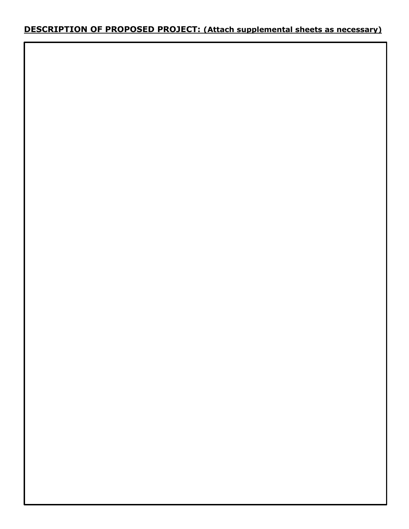### **DESCRIPTION OF PROPOSED PROJECT: (Attach supplemental sheets as necessary)**